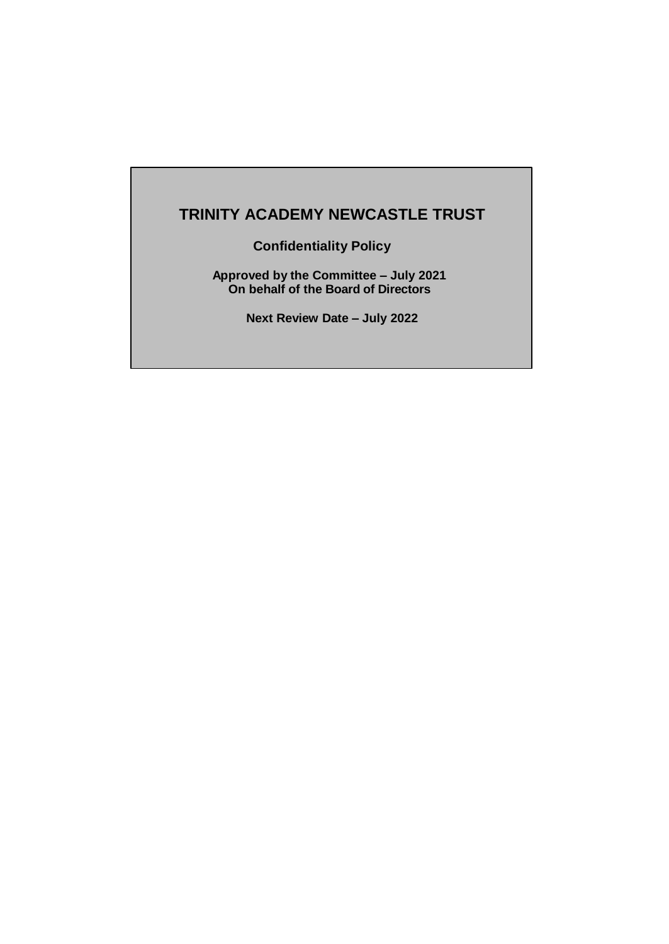# **TRINITY ACADEMY NEWCASTLE TRUST**

**Confidentiality Policy**

**Approved by the Committee – July 2021 On behalf of the Board of Directors** 

**Next Review Date – July 2022**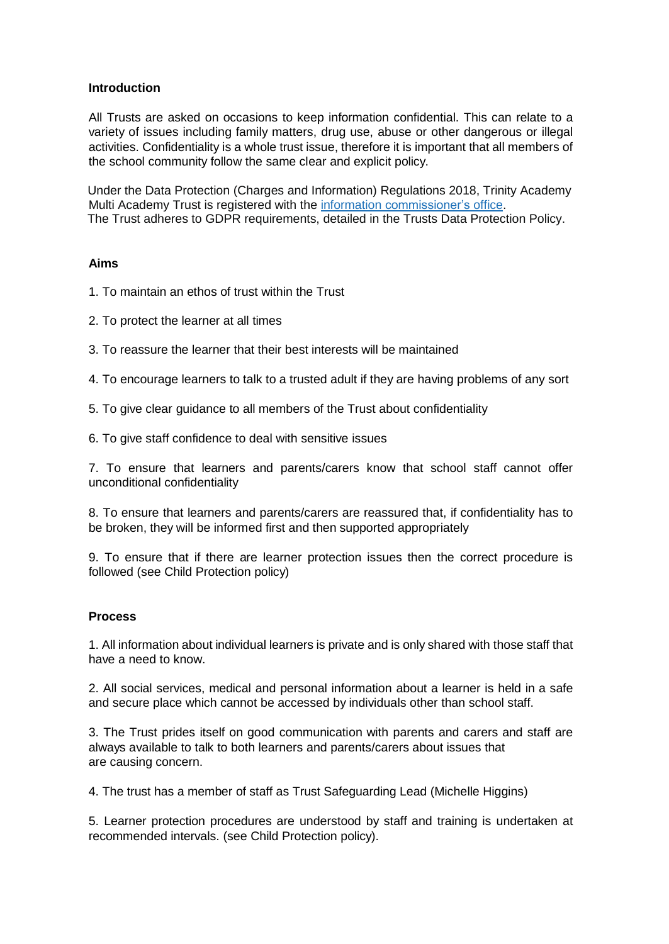# **Introduction**

All Trusts are asked on occasions to keep information confidential. This can relate to a variety of issues including family matters, drug use, abuse or other dangerous or illegal activities. Confidentiality is a whole trust issue, therefore it is important that all members of the school community follow the same clear and explicit policy.

 Under the Data Protection (Charges and Information) Regulations 2018, Trinity Academy Multi Academy Trust is registered with the information [commissioner's](http://ico.org.uk/for_organisations/data_protection/registration) office. The Trust adheres to GDPR requirements, detailed in the Trusts Data Protection Policy.

# **Aims**

- 1. To maintain an ethos of trust within the Trust
- 2. To protect the learner at all times
- 3. To reassure the learner that their best interests will be maintained
- 4. To encourage learners to talk to a trusted adult if they are having problems of any sort
- 5. To give clear guidance to all members of the Trust about confidentiality
- 6. To give staff confidence to deal with sensitive issues

7. To ensure that learners and parents/carers know that school staff cannot offer unconditional confidentiality

8. To ensure that learners and parents/carers are reassured that, if confidentiality has to be broken, they will be informed first and then supported appropriately

9. To ensure that if there are learner protection issues then the correct procedure is followed (see Child Protection policy)

# **Process**

1. All information about individual learners is private and is only shared with those staff that have a need to know.

2. All social services, medical and personal information about a learner is held in a safe and secure place which cannot be accessed by individuals other than school staff.

3. The Trust prides itself on good communication with parents and carers and staff are always available to talk to both learners and parents/carers about issues that are causing concern.

4. The trust has a member of staff as Trust Safeguarding Lead (Michelle Higgins)

5. Learner protection procedures are understood by staff and training is undertaken at recommended intervals. (see Child Protection policy).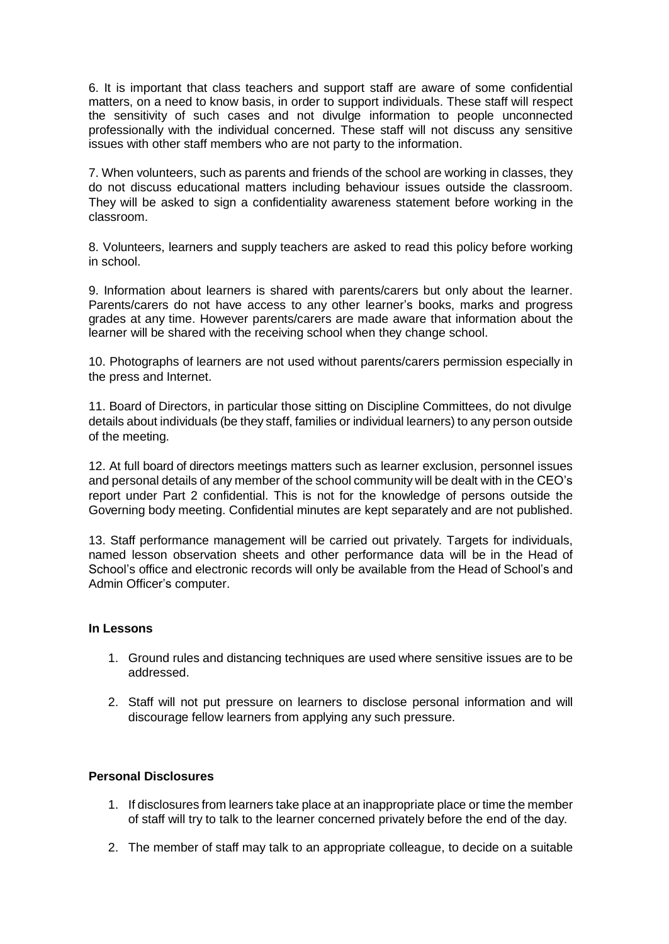6. It is important that class teachers and support staff are aware of some confidential matters, on a need to know basis, in order to support individuals. These staff will respect the sensitivity of such cases and not divulge information to people unconnected professionally with the individual concerned. These staff will not discuss any sensitive issues with other staff members who are not party to the information.

7. When volunteers, such as parents and friends of the school are working in classes, they do not discuss educational matters including behaviour issues outside the classroom. They will be asked to sign a confidentiality awareness statement before working in the classroom.

8. Volunteers, learners and supply teachers are asked to read this policy before working in school.

9. Information about learners is shared with parents/carers but only about the learner. Parents/carers do not have access to any other learner's books, marks and progress grades at any time. However parents/carers are made aware that information about the learner will be shared with the receiving school when they change school.

10. Photographs of learners are not used without parents/carers permission especially in the press and Internet.

11. Board of Directors, in particular those sitting on Discipline Committees, do not divulge details about individuals (be they staff, families or individual learners) to any person outside of the meeting.

12. At full board of directors meetings matters such as learner exclusion, personnel issues and personal details of any member of the school community will be dealt with in the CEO's report under Part 2 confidential. This is not for the knowledge of persons outside the Governing body meeting. Confidential minutes are kept separately and are not published.

13. Staff performance management will be carried out privately. Targets for individuals, named lesson observation sheets and other performance data will be in the Head of School's office and electronic records will only be available from the Head of School's and Admin Officer's computer.

# **In Lessons**

- 1. Ground rules and distancing techniques are used where sensitive issues are to be addressed.
- 2. Staff will not put pressure on learners to disclose personal information and will discourage fellow learners from applying any such pressure.

# **Personal Disclosures**

- 1. If disclosures from learners take place at an inappropriate place or time the member of staff will try to talk to the learner concerned privately before the end of the day.
- 2. The member of staff may talk to an appropriate colleague, to decide on a suitable